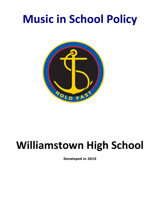# **Music in School Policy**



## **Williamstown High School**

**Developed in 2019**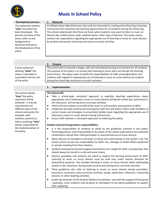

### **Music in School Policy**

| <b>Development process</b>                                                                                                                                                                                | <b>Rationale</b><br>1.                                                                                                                                                                                                                                                                                                                                                                                                                                                                                                                                          |
|-----------------------------------------------------------------------------------------------------------------------------------------------------------------------------------------------------------|-----------------------------------------------------------------------------------------------------------------------------------------------------------------------------------------------------------------------------------------------------------------------------------------------------------------------------------------------------------------------------------------------------------------------------------------------------------------------------------------------------------------------------------------------------------------|
| This statement explains<br>"why" the policy has<br>been developed. The<br>general overview of the<br>policy refers to any<br>background or<br>directives that led to<br>the development of the<br>policy. | At Williamstown High School we value and are interested in creating and enhancing a learning<br>community that maximises the learning opportunities for all students during the school day.<br>The school understands that there are times when students may want to listen to music on<br>devices (eg: mobile phone, ipad, netbook device, other type of devices). This policy clearly<br>outlines our expectations regarding the appropriate use of listening to music on music devices<br>by students during the school day and extra-curricular activities. |
|                                                                                                                                                                                                           | <b>Purpose</b><br>2.                                                                                                                                                                                                                                                                                                                                                                                                                                                                                                                                            |
| A brief statement<br>defining "what" the<br>policy is intended to<br>accomplish and the aim<br>of the policy.                                                                                             | The school aims to provide a happy, safe and stimulating learning environment for all students.<br>The purpose of this policy is to ensure that listening to music does not disrupt this learning<br>environment. The policy seeks to clarify the responsibilities of staff, parent/guardians and<br>students with regards to appropriate use of listening to music on music devices by students<br>during the school day and extra-curricular activities.                                                                                                      |

#### **3. Implementation**

#### **The School will:**

- Take a school-wide consistent approach to explicitly teaching expectations about appropriate use of listening to music on music devices during the school day, particularly in the classroom, and during extra-curricular activities.
- Inform all new students and staff of the music in school policy and practices at WHS.
- Implement periodic professional learning for staff that will better inform staff members of current issues and strategies to proactively handle issues regarding the appropriate use of listening to music on music devices during school hours.
- Ensure staff maintain a consistent approach to enforcing the policy.

#### **Student and parents/guardians responsibilities:**

- It is the responsibility of students to abide by the guidelines outlined in this policy. Parents/guardians need (reasonably) to be aware of the school expectations and potential ramifications should their child participate in unauthorised use of music devices.
- Music devices are brought to and kept at school and used entirely at the owner's risk. The school cannot accept any responsibility for theft, loss, damage or health effects (potential or actual) resulting from these devices.
- Students and parents should recognize that devices are a target for theft, consequently, they should always be stored in a safe and secure place.
- Parents, guardians and students are asked to respect the learning environment at WHS. Listening to music on music devices must be used only under teacher direction for educational purposes. This includes listening to music on music devices while undertaking studies in the classroom, during study sessions and during extra-curricular activities
- These guidelines also refer to listening to music on music devices during assemblies, excursions, incursions, extra-curricular activities, camps, detentions, reflection / reteaching sessions or other teaching activities.
- Under the direction of the Student Welfare Coordinator, and with the support of the parent / guardian, some students may be given an exemption to the above guidelines to support their wellbeing.

This section details **"how"** the policy statement will be achieved. It may set requirements for different parts of the school community (for example, staff, students, parents) as well as outlining **"who"** will be responsible for the implementation of the policy.